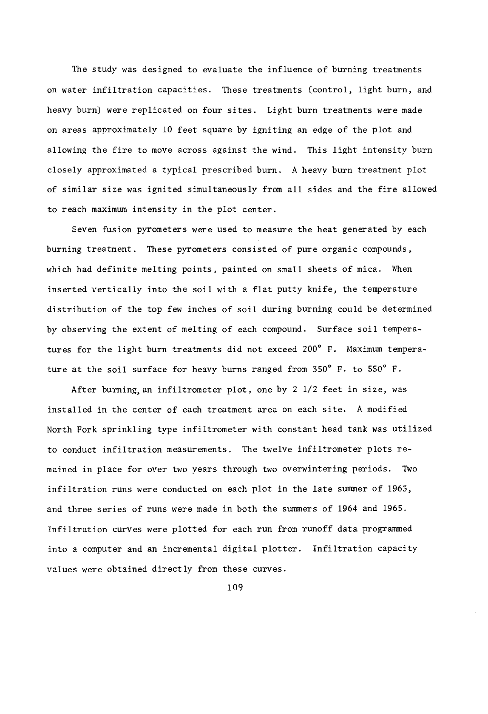The study was designed to evaluate the influence of burning treatments on water infiltration capacities. These treatments (control, light burn, and heavy burn) were replicated on four sites. Light burn treatments were made on areas approximately 10 feet square by igniting an edge of the plot and allowing the fire to move across against the wind. This light intensity burn closely approximated a typical prescribed burn. A heavy burn treatment plot of similar size was ignited simultaneously from all sides and the fire allowed to reach maximum intensity in the plot center.

Seven fusion pyrometers were used to measure the heat generated by each burning treatment. These pyrometers consisted of pure organic compounds, which had definite melting points, painted on small sheets of mica. When inserted vertically into the soil with a flat putty knife, the temperature distribution of the top few inches of soil during burning could be determined by observing the extent of melting of each compound. Surface soil temperatures for the light burn treatments did not exceed 200° F. Maximum temperature at the soil surface for heavy burns ranged from 350° F. to 550° F.

After burning, an infiltrometer plot, one by 2 1/2 feet in size, was installed in the center of each treatment area on each site. A modified North Fork sprinkling type infiltrometer with constant head tank was utilized to conduct infiltration measurements. The twelve infiltrometer plots remained in place for over two years through two overwintering periods. Two infiltration runs were conducted on each plot in the late summer of 1963, and three series of runs were made in both the summers of 1964 and 1965. Infiltration curves were plotted for each run from runoff data programmed into a computer and an incremental digital plotter. Infiltration capacity values were obtained directly from these curves.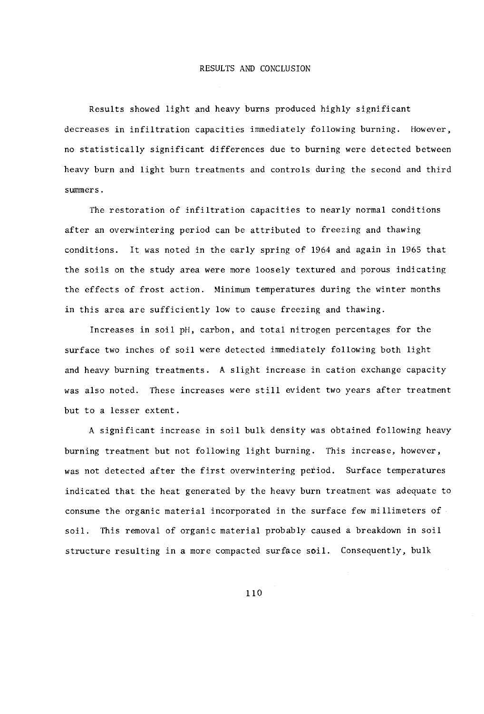Results showed light and heavy burns produced highly significant decreases in infiltration capacities immediately following burning. However, no statistically significant differences due to burning were detected between heavy burn and light burn treatments and controls during the second and third summers.

The restoration of infiltration capacities to nearly normal conditions after an overwintering period can be attributed to freezing and thawing conditions. It was noted in the early spring of 1964 and again in 1965 that the soils on the study area were more loosely textured and porous indicating the effects of frost action. Minimum temperatures during the winter months in this area are sufficiently low to cause freezing and thawing.

Increases in soil pH, carbon, and total nitrogen percentages for the surface two inches of soil were detected immediately following both light and heavy burning treatments. A slight increase in cation exchange capacity was also noted. These increases were still evident two years after treatment but to a lesser extent.

A significant increase in soil bulk density was obtained following heavy burning treatment but not following light burning. This increase, however, was not detected after the first overwintering period. Surface temperatures indicated that the heat generated by the heavy burn treatment was adequate to consume the organic material incorporated in the surface few millimeters of soil. This removal of organic material probably caused a breakdown in soil structure resulting in a more compacted surface soil. Consequently, bulk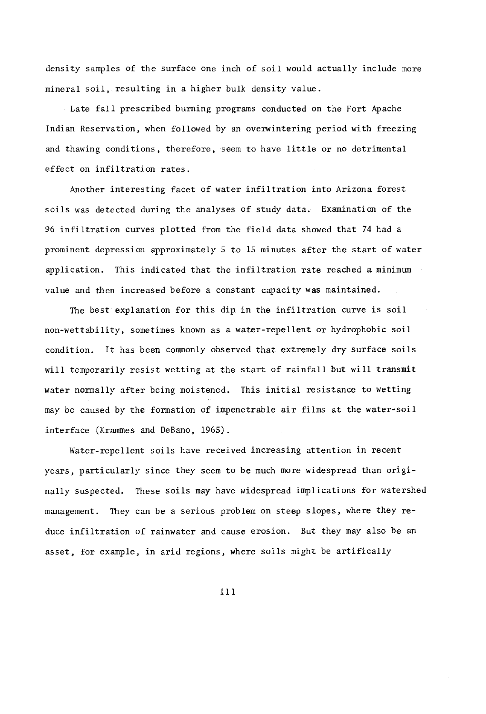density samples of the surface one inch of soil would actually include more mineral soil, resulting in a higher bulk density value.

Late fall prescribed burning programs conducted on the Fort Apache Indian Reservation, when followed by an overwintering period with freezing and thawing conditions, therefore, seem to have little or no detrimental effect on infiltration rates.

Another interesting facet of water infiltration into Arizona forest soils was detected during the analyses of study data. Examination of the 96 infiltration curves plotted from the field data showed that 74 had a prominent depression approximately 5 to 15 minutes after the start of water application. This indicated that the infiltration rate reached a minimum value and then increased before a constant capacity was maintained.

The best explanation for this dip in the infiltration curve is soil non -wettability, sometimes known as a water -repellent or hydrophobic soil condition. It has been commonly observed that extremely dry surface soils will temporarily resist wetting at the start of rainfall but will transmit water normally after being moistened. This initial resistance to wetting may be caused by the formation of impenetrable air films at the water-soil interface (Krammes and DeBano, 1965).

Water-repellent soils have received increasing attention in recent years, particularly since they seem to be much more widespread than originally suspected. These soils may have widespread implications for watershed management. They can be a serious problem on steep slopes, where they reduce infiltration of rainwater and cause erosion. But they may also be an asset, for example, in arid regions, where soils might be artifically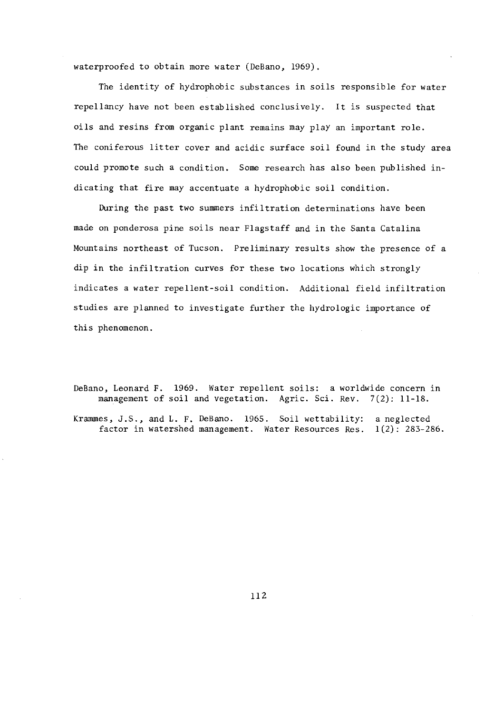waterproofed to obtain more water (DeBano, 1969).

The identity of hydrophobic substances in soils responsible for water repellancy have not been established conclusively. It is suspected that oils and resins from organic plant remains may play an important role. The coniferous litter cover and acidic surface soil found in the study area could promote such a condition. Some research has also been published indicating that fire may accentuate a hydrophobic soil condition.

During the past two summers infiltration determinations have been made on ponderosa pine soils near Flagstaff and in the Santa Catalina Mountains northeast of Tucson. Preliminary results show the presence of a dip in the infiltration curves for these two locations which strongly indicates a water repellent -soil condition. Additional field infiltration studies are planned to investigate further the hydrologic importance of this phenomenon.

DeBano, Leonard F. 1969. Water repellent soils: a worldwide concern in management of soil and vegetation. Agric. Sci. Rev. 7(2): 11-18.

Krammes, J.S., and L. F. DeBano. 1965. Soil wettability: a neglected factor in watershed management. Water Resources Res. 1(2): 283-286.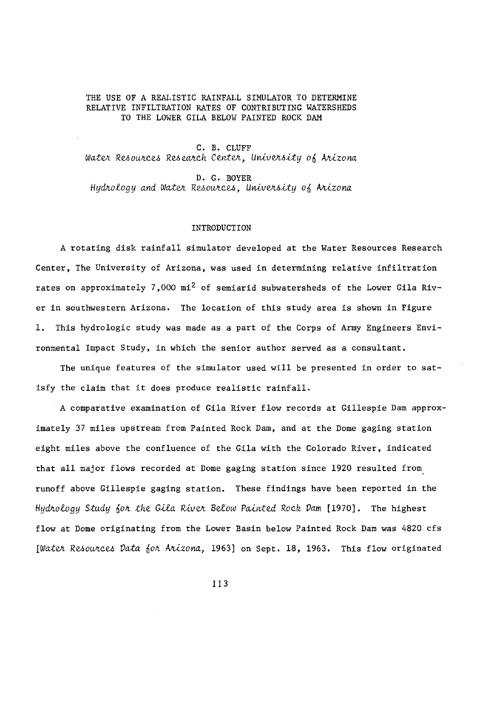### THE USE OF A REALISTIC RAINFALL SIMULATOR TO DETERMINE RELATIVE INFILTRATION RATES OF CONTRIBUTING WATERSHEDS TO THE LOWER GILA BELOW PAINTED ROCK DAM

C. B. CLUFF Water Resources Research Center, University of Arizona

D. G. BOYER Hydrology and Water Resources, University of Arizona

### **INTRODUCTION**

A rotating disk rainfall simulator developed at the Water Resources Research Center, The University of Arizona, was used in determining relative infiltration rates on approximately 7,000 mi<sup>2</sup> of semiarid subwatersheds of the Lower Gila River in southwestern Arizona. The location of this study area is shown in Figure 1. This hydrologic study was made as a part of the Corps of Army Engineers Environmental Impact Study, in which the senior author served as a consultant.

The unique features of the simulator used will be presented in order to satisfy the claim that it does produce realistic rainfall.

A comparative examination of Gila River flow records at Gillespie Dam approximately 37 miles upstream from Painted Rock Dam, and at the Dome gaging station eight miles above the confluence of the Gila with the Colorado River, indicated that all major flows recorded at Dome gaging station since 1920 resulted from runoff above Gillespie gaging station. These findings have been reported in the Hydrology Study for the Gila River Below Painted Rock Dam [1970]. The highest flow at Dome originating from the Lower Basin below Painted Rock Dam was 4820 cfs [Water Resources Data for Arizona, 1963] on Sept. 18, 1963. This flow originated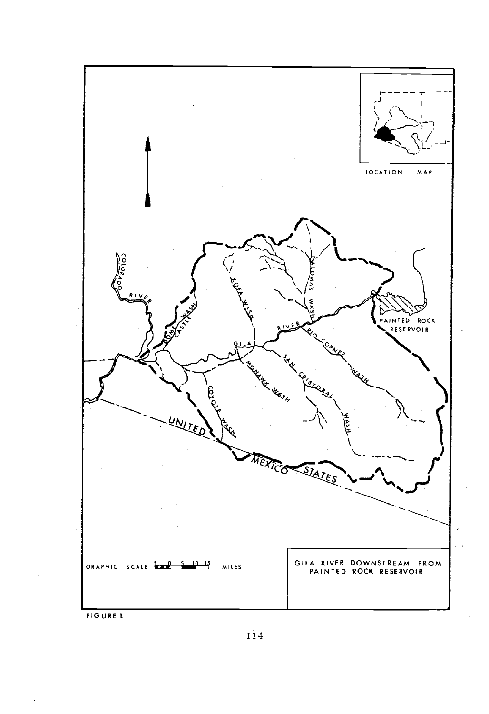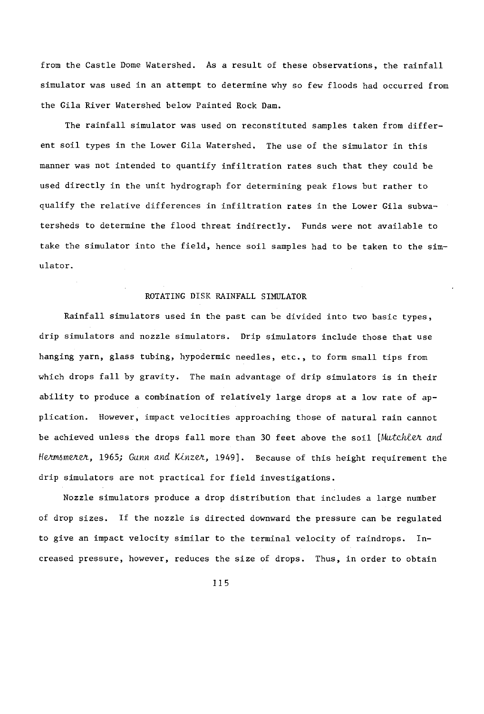from the Castle Dome Watershed. As a result of these observations, the rainfall simulator was used in an attempt to determine why so few floods had occurred from the Gila River Watershed below Painted Rock Dam.

The rainfall simulator was used on reconstituted samples taken from different soil types in the Lower Gila Watershed. The use of the simulator in this manner was not intended to quantify infiltration rates such that they could be used directly in the unit hydrograph for determining peak flows but rather to qualify the relative differences in infiltration rates in the Lower Gila subwatersheds to determine the flood threat indirectly. Funds were not available to take the simulator into the field, hence soil samples had to be taken to the simulator.

# ROTATING DISK RAINFALL SIMULATOR

Rainfall simulators used in the past can be divided into two basic types, drip simulators and nozzle simulators. Drip simulators include those that use hanging yarn, glass tubing, hypodermic needles, etc., to form small tips from which drops fall by gravity. The main advantage of drip simulators is in their ability to produce a combination of relatively large drops at a low rate of application. However, impact velocities approaching those of natural rain cannot be achieved unless the drops fall more than 30 feet above the soil [Mutchlet and Hermsmerer, 1965; Gunn and Kinzer, 1949]. Because of this height requirement the drip simulators are not practical for field investigations.

Nozzle simulators produce a drop distribution that includes a large number of drop sizes. If the nozzle is directed downward the pressure can be regulated to give an impact velocity similar to the terminal velocity of raindrops. In creased pressure, however, reduces the size of drops. Thus, in order to obtain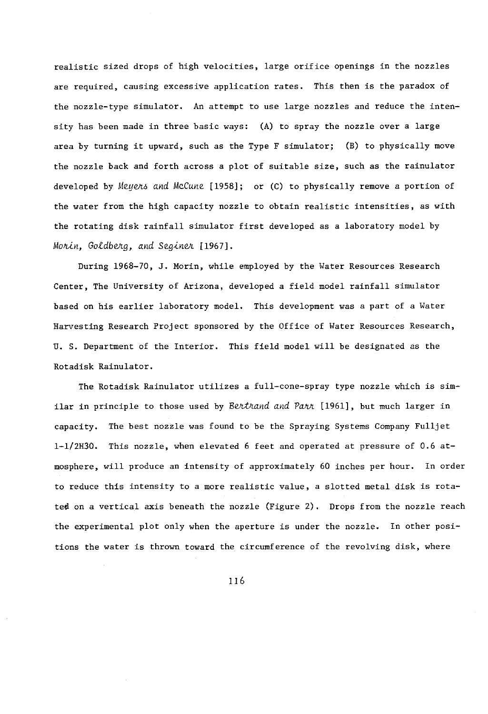realistic sized drops of high velocities, large orifice openings in the nozzles are required, causing excessive application rates. This then is the paradox of the nozzle-type simulator. An attempt to use large nozzles and reduce the intensity has been made in three basic ways: (A) to spray the nozzle over a large area by turning it upward, such as the Type F simulator; (B) to physically move the nozzle back and forth across a plot of suitable size, such as the rainulator developed by Meuens and McCune [1958]; or (C) to physically remove a portion of the water from the high capacity nozzle to obtain realistic intensities, as with the rotating disk rainfall simulator first developed as a laboratory model by Morin, Goldberg, and Seginer [1967].

During 1968-70, J. Morin, while employed by the Water Resources Research Center, The University of Arizona, developed a field model rainfall simulator based on his earlier laboratory model. This development was a part of a Water Harvesting Research Project sponsored by the Office of Water Resources Research, U. S. Department of the Interior. This field model will be designated as the Rotadisk Rainulator.

The Rotadisk Rainulator utilizes a full-cone-spray type nozzle which is similar in principle to those used by Bertrand and Parr  $[1961]$ , but much larger in capacity. The best nozzle was found to be the Spraying Systems Company Fulljet 1- 1/2H30. This nozzle, when elevated 6 feet and operated at pressure of 0.6 atmosphere, will produce an intensity of approximately 60 inches per hour. In order to reduce this intensity to a more realistic value, a slotted metal disk is rotated on a vertical axis beneath the nozzle (Figure 2). Drops from the nozzle reach the experimental plot only when the aperture is under the nozzle. In other positions the water is thrown toward the circumference of the revolving disk, where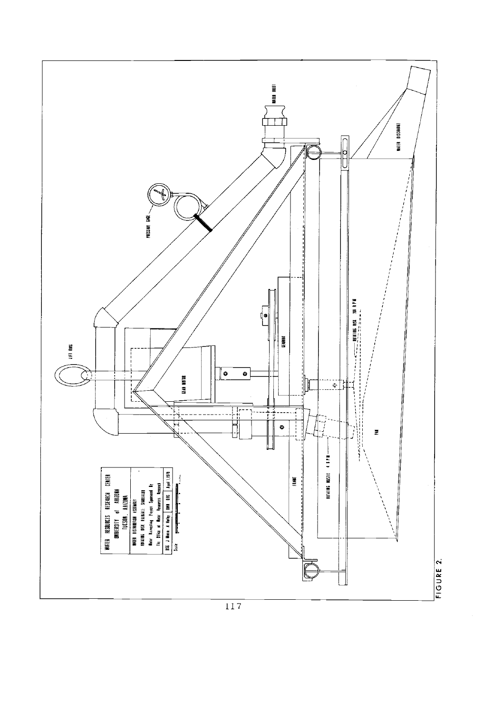

 $\overline{117}$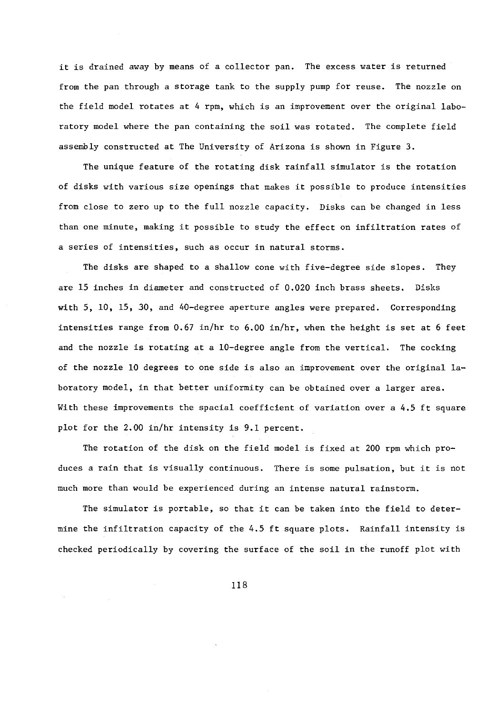it is drained away by means of a collector pan. The excess water is returned from the pan through a storage tank to the supply pump for reuse. The nozzle on the field model rotates at 4 rpm, which is an improvement over the original laboratory model where the pan containing the soil was rotated. The complete field assembly constructed at The University of Arizona is shown in Figure 3.

The unique feature of the rotating disk rainfall simulator is the rotation of disks with various size openings that makes it possible to produce intensities from close to zero up to the full nozzle capacity. Disks can be changed in less than one minute, making it possible to study the effect on infiltration rates of a series of intensities, such as occur in natural storms.

The disks are shaped to a shallow cone with five-degree side slopes. They are 15 inches in diameter and constructed of 0.020 inch brass sheets. Disks with  $5$ ,  $10$ ,  $15$ ,  $30$ , and  $40$ -degree aperture angles were prepared. Corresponding intensities range from  $0.67$  in/hr to  $6.00$  in/hr, when the height is set at 6 feet and the nozzle is rotating at a 10-degree angle from the vertical. The cocking of the nozzle 10 degrees to one side is also an improvement over the original  $1a$ boratory model, in that better uniformity can be obtained over a larger area. With these improvements the spacial coefficient of variation over a 4.5 ft square plot for the 2.00 in /hr intensity is 9.1 percent.

The rotation of the disk on the field model is fixed at 200 rpm which produces a rain that is visually continuous. There is some pulsation, but it is not much more than would be experienced during an intense natural rainstorm.

The simulator is portable, so that it can be taken into the field to determine the infiltration capacity of the 4.5 ft square plots. Rainfall intensity is checked periodically by covering the surface of the soil in the runoff plot with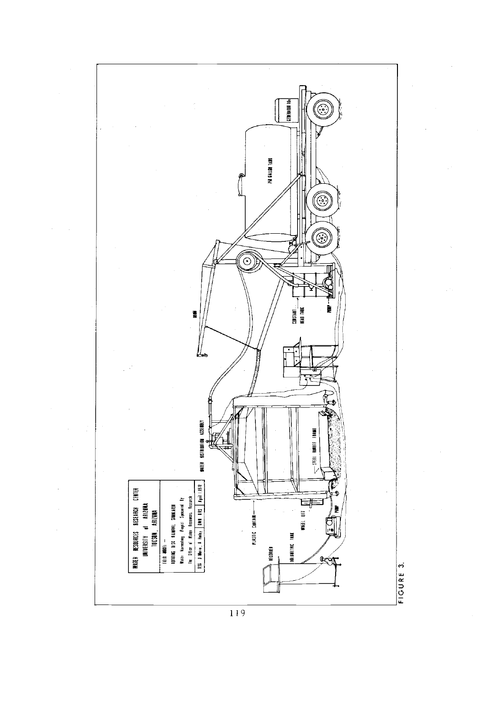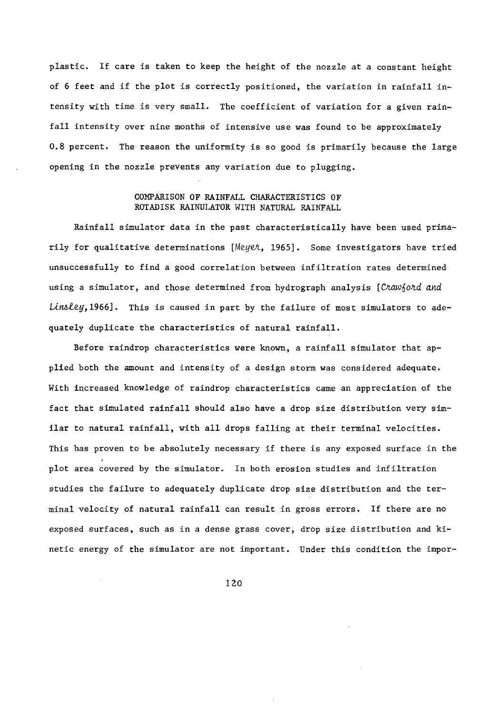plastic. If care is taken to keep the height of the nozzle at a constant height of 6 feet and if the plot is correctly positioned, the variation in rainfall intensity with time is very small. The coefficient of variation for a given rainfall intensity over nine months of intensive use was found to be approximately 0.8 percent. The reason the uniformity is so good is primarily because the large opening in the nozzle prevents any variation due to plugging.

## COMPARISON OF RAINFALL CHARACTERISTICS OF ROTADISK RAINULATOR WITH NATURAL RAINFALL

Rainfall simulator data in the past characteristically have been used primarily for qualitative determinations [Meyet, 1965]. Some investigators have tried unsuccessfully to find a good correlation between infiltration rates determined using a simulator, and those determined from hydrograph analysis [Chawfohd and  $Linsley,1966$ . This is caused in part by the failure of most simulators to adequately duplicate the characteristics of natural rainfall.

Before raindrop characteristics were known, a rainfall simulator that applied both the amount and intensity of a design storm was considered adequate. With increased knowledge of raindrop characteristics came an appreciation of the fact that simulated rainfall should also have a drop size distribution very similar to natural rainfall, with all drops falling at their terminal velocities. This has proven to be absolutely necessary if there is any exposed surface in the plot area covered by the simulator. In both erosion studies and infiltration studies the failure to adequately duplicate drop size distribution and the terminal velocity of natural rainfall can result in gross errors. If there are no exposed surfaces, such as in a dense grass cover, drop size distribution and kinetic energy of the simulator are not important. Under this condition the impor-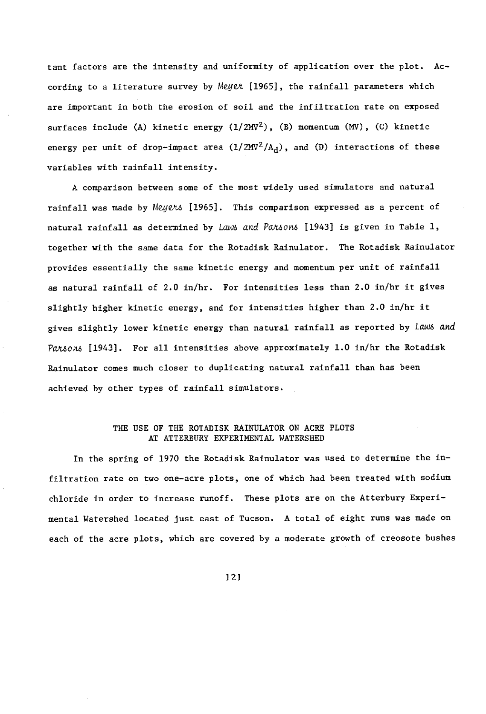tant factors are the intensity and uniformity of application over the plot. Ac cording to a literature survey by Meyer [1965], the rainfall parameters which are important in both the erosion of soil and the infiltration rate on exposed surfaces include (A) kinetic energy  $(1/2MV^2)$ , (B) momentum (MV), (C) kinetic energy per unit of drop-impact area  $(1/2MV^2/A_d)$ , and (D) interactions of these variables with rainfall intensity.

A comparison between some of the most widely used simulators and natural rainfall was made by Meyers [1965]. This comparison expressed as a percent of natural rainfall as determined by Laws and Pa/usons [1943] is given in Table 1, together with the same data for the Rotadisk Rainulator. The Rotadisk Rainulator provides essentially the same kinetic energy and momentum per unit of rainfall as natural rainfall of 2.0 in/hr. For intensities less than 2.0 in/hr it gives slightly higher kinetic energy, and for intensities higher than 2.0 in/hr it gives slightly lower kinetic energy than natural rainfall as reported by Laws and Pansons [1943]. For all intensities above approximately 1.0 in/hr the Rotadisk Rainulator comes much closer to duplicating natural rainfall than has been achieved by other types of rainfall simulators.

### THE USE OF THE ROTADISK RAINULATOR ON ACRE PLOTS AT ATTERBURY EXPERIMENTAL WATERSHED

In the spring of 1970 the Rotadisk Rainulator was used to determine the infiltration rate on two one-acre plots, one of which had been treated with sodium chloride in order to increase runoff. These plots are on the Atterbury Experimental Watershed located just east of Tucson. A total of eight runs was made on each of the acre plots, which are covered by a moderate growth of creosote bushes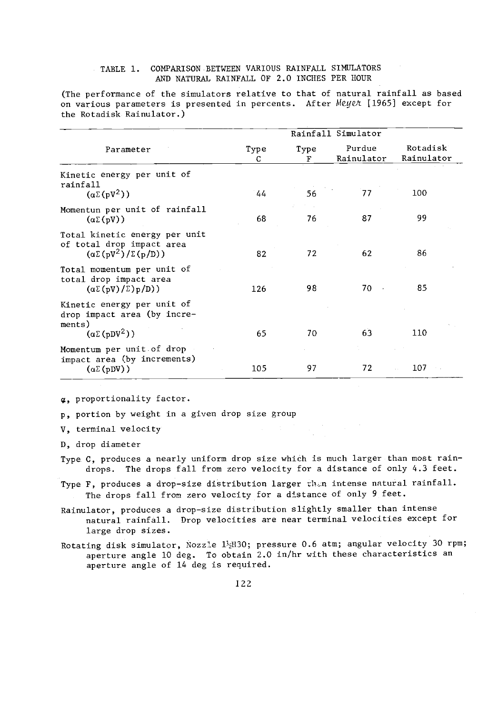## TABLE 1. COMPARISON BETWEEN VARIOUS RAINFALL SIMULATORS AND NATURAL RAINFALL OF 2.0 INCHES PER HOUR

(The performance of the simulators relative to that of natural rainfall as based on various parameters is presented in percents. After Meyer 11965] except for the Rotadisk Rainulator.)

|                                                                                                  |           |           | Rainfall Simulator   |                        |
|--------------------------------------------------------------------------------------------------|-----------|-----------|----------------------|------------------------|
| Parameter                                                                                        | Type<br>C | Type<br>F | Purdue<br>Rainulator | Rotadisk<br>Rainulator |
| Kinetic energy per unit of<br>rainfall<br>$(\alpha \Sigma(pV^2))$                                | 44        | 56        | 77                   | 100                    |
| Momentun per unit of rainfall<br>$(\alpha \Sigma(pV))$                                           | 68        | 76        | 87                   | 99                     |
| Total kinetic energy per unit<br>of total drop impact area<br>$(\alpha\Sigma(pV^2)/\Sigma(p/D))$ | 82        | 72        | 62                   | 86                     |
| Total momentum per unit of<br>total drop impact area<br>$(\alpha \Sigma (pV)/\Sigma) p/D)$       | 126       | 98        | $70 -$               | 85                     |
| Kinetic energy per unit of<br>drop impact area (by incre-<br>ments)<br>$(\alpha \Sigma (pDV^2))$ | 65        | 70        | 63                   | 110                    |
| Momentum per unit of drop<br>impact area (by increments)                                         |           |           |                      |                        |
| $(\alpha \Sigma(pDV))$                                                                           | 105       | 97        | 72                   | 107<br>$\sim$ $\sim$   |

 $\alpha$ , proportionality factor.

p, portion by weight in a given drop size group

V, terminal velocity

D, drop diameter

Type C, produces a nearly uniform drop size which is much larger than most raindrops. The drops fall from zero velocity for a distance of only 4.3 feet.

Type F, produces a drop-size distribution larger then intense natural rainfall. The drops fall from zero velocity for a distance of only 9 feet.

Rainulator, produces a drop-size distribution slightly smaller than intense natural rainfall. Drop velocities are near terminal velocities except for large drop sizes.

Rotating disk simulator, Nozzle 12H30; pressure 0.6 atm; angular velocity 30 rpm; aperture angle 10 deg. To obtain 2.0 in /hr with these characteristics an aperture angle of 14 deg is required.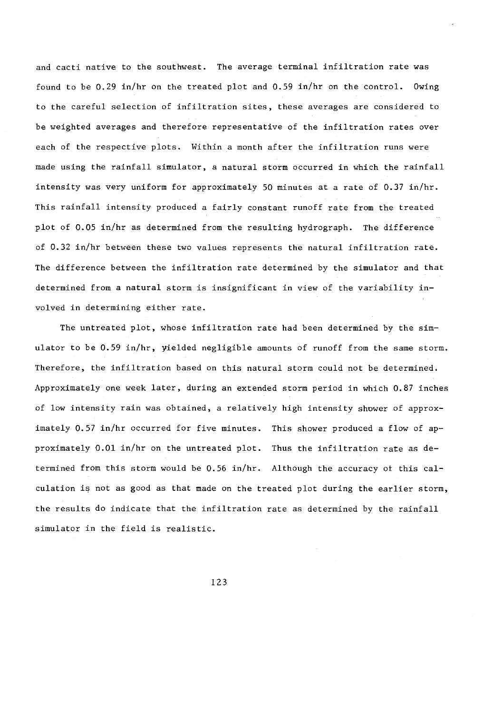and cacti native to the southwest. The average terminal infiltration rate was found to be 0.29 in/hr on the treated plot and 0.59 in/hr on the control. Owing to the careful selection of infiltration sites, these averages are considered to be weighted averages and therefore representative of the infiltration rates over each of the respective plots. Within a month after the infiltration runs were made using the rainfall simulator, a natural storm occurred in which the rainfall intensity was very uniform for approximately 50 minutes at a rate of 0.37 in /hr. This rainfall intensity produced a fairly constant runoff rate from the treated plot of 0.05 in /hr as determined from the resulting hydrograph. The difference of 0.32 in /hr between these two values represents the natural infiltration rate. The difference between the infiltration rate determined by the simulator and that determined from a natural storm is insignificant in view of the variability involved in determining either rate.

The untreated plot, whose infiltration rate had been determined by the simulator to be 0.59 in/hr, yielded negligible amounts of runoff from the same storm. Therefore, the infiltration based on this natural storm could not be determined. Approximately one week later, during an extended storm period in which 0.87 inches of low intensity rain was obtained, a relatively high intensity shower of approximately 0.57 in /hr occurred for five minutes. This shower produced a flow of approximately 0.01 in/hr on the untreated plot. Thus the infiltration rate as determined from this storm would be 0.56 in /hr. Although the accuracy of this calculation is not as good as that made on the treated plot during the earlier storm, the results do indicate that the infiltration rate as determined by the rainfall simulator in the field is realistic.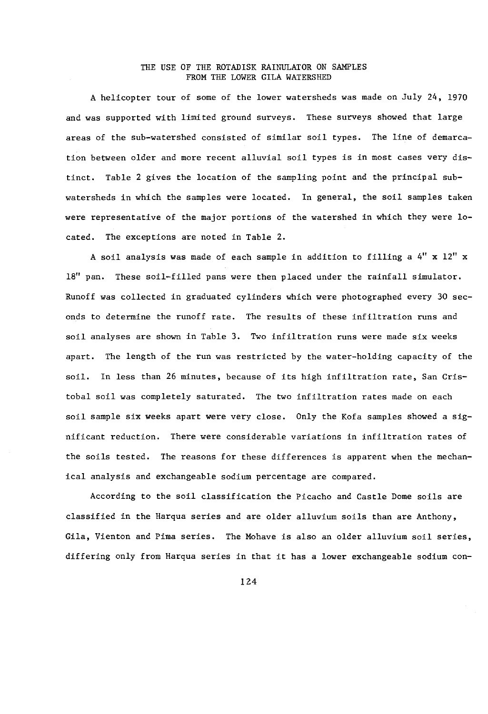## THE USE OF THE ROTADISK RAINULATOR ON SAMPLES FROM THE LOWER GILA WATERSHED

A helicopter tour of some of the lower watersheds was made on July 24, 1970 and was supported with limited ground surveys. These surveys showed that large areas of the sub-watershed consisted of similar soil types. The line of demarcation between older and more recent alluvial soil types is in most cases very distinct. Table 2 gives the location of the sampling point and the principal subwatersheds in which the samples were located. In general, the soil samples taken were representative of the major portions of the watershed in which they were located. The exceptions are noted in Table 2.

A soil analysis was made of each sample in addition to filling a 4" x 12" x 18" pan. These soil-filled pans were then placed under the rainfall simulator. Runoff was collected in graduated cylinders which were photographed every 30 seconds to determine the runoff rate. The results of these infiltration runs and soil analyses are shown in Table 3. Two infiltration runs were made six weeks apart. The length of the run was restricted by the water -holding capacity of the soil. In less than 26 minutes, because of its high infiltration rate, San Cristobal soil was completely saturated. The two infiltration rates made on each soil sample six weeks apart were very close. Only the Kofa samples showed a significant reduction. There were considerable variations in infiltration rates of the soils tested. The reasons for these differences is apparent when the mechanical analysis and exchangeable sodium percentage are compared.

According to the soil classification the Picacho and Castle Dome soils are classified in the Harqua series and are older alluvium soils than are Anthony, Gila, Vienton and Pima series. The Mohave is also an older alluvium soil series, differing only from Harqua series in that it has a lower exchangeable sodium con-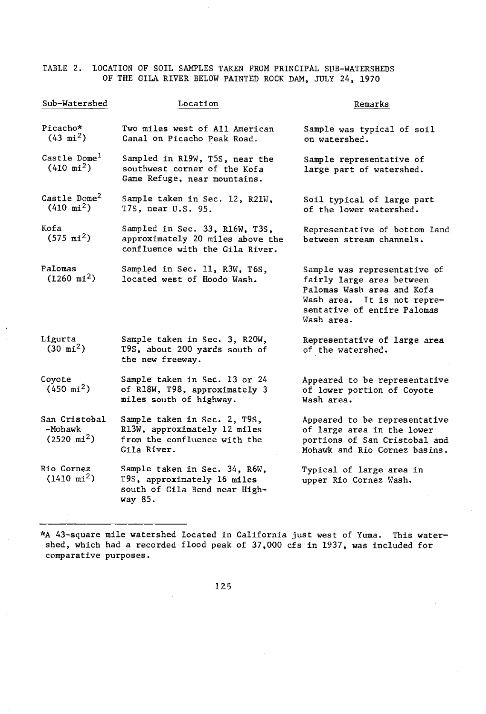TABLE 2. LOCATION OF SOIL SAMPLES TAKEN FROM PRINCIPAL SUB-WATERSHEDS OF THE GILA RIVER BELOW PAINTED ROCK DAM, JULY 24, 1970

| Sub-Watershed                                     | Location                                                                                                    | Remarks                                                                                                                                                             |
|---------------------------------------------------|-------------------------------------------------------------------------------------------------------------|---------------------------------------------------------------------------------------------------------------------------------------------------------------------|
| Picacho*<br>$(43 \text{ mi}^2)$                   | Two miles west of All American<br>Canal on Picacho Peak Road.                                               | Sample was typical of soil<br>on watershed.                                                                                                                         |
| Castle Dome <sup>1</sup><br>$(410 \text{ mi}^2)$  | Sampled in R19W, T5S, near the<br>southwest corner of the Kofa<br>Game Refuge, near mountains.              | Sample representative of<br>large part of watershed.                                                                                                                |
| Castle Dome <sup>2</sup><br>$(410 \text{ mi}^2)$  | Sample taken in Sec. 12, R21W,<br>T7S, near U.S. 95.                                                        | Soil typical of large part<br>of the lower watershed.                                                                                                               |
| Kofa<br>$(575 \text{ mi}^2)$                      | Sampled in Sec. 33, R16W, T3S,<br>approximately 20 miles above the<br>confluence with the Gila River.       | Representative of bottom land<br>between stream channels.                                                                                                           |
| Palomas<br>$(1260 \text{ mi}^2)$                  | Sampled in Sec. 11, R3W, T6S,<br>located west of Hoodo Wash.                                                | Sample was representative of<br>fairly large area between<br>Palomas Wash area and Kofa<br>Wash area. It is not repre-<br>sentative of entire Palomas<br>Wash area. |
| Ligurta<br>$(30 \text{ mi}^2)$                    | Sample taken in Sec. 3, R20W,<br>T9S, about 200 yards south of<br>the new freeway.                          | Representative of large area<br>of the watershed.                                                                                                                   |
| Coyote<br>$(450 \text{ mi}^2)$                    | Sample taken in Sec. 13 or 24<br>of R18W, T98, approximately 3<br>miles south of highway.                   | Appeared to be representative<br>of lower portion of Coyote<br>Wash area.                                                                                           |
| San Cristobal<br>-Mohawk<br>$(2520 \text{ mi}^2)$ | Sample taken in Sec. 2, T9S,<br>R13W, approximately 12 miles<br>from the confluence with the<br>Gila River. | Appeared to be representative<br>of large area in the lower<br>portions of San Cristobal and<br>Mohawk and Rio Cornez basins.                                       |
| Rio Cornez<br>$(1410 \text{ mi}^2)$               | Sample taken in Sec. 34, R6W,<br>T9S, approximately 16 miles<br>south of Gila Bend near High-<br>way 85.    | Typical of large area in<br>upper Rio Cornez Wash.                                                                                                                  |

\*A 43-square mile watershed located in California just west of Yuma. This watershed, which had a recorded flood peak of 37,000 cfs in 1937, was included for comparative purposes.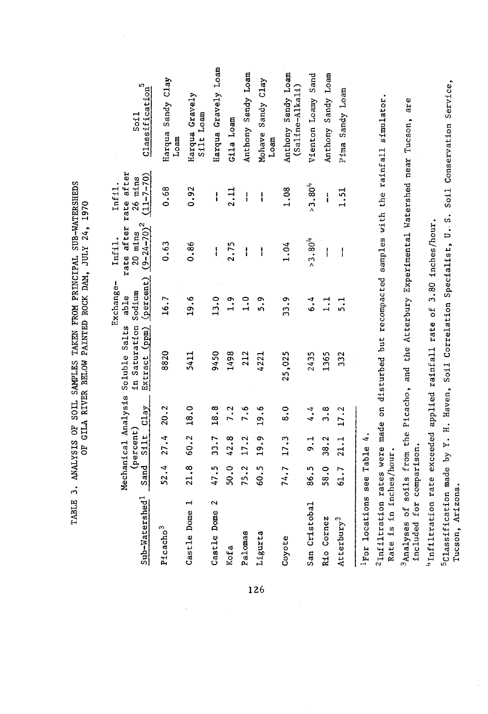| Sub-Watershed <sup>1</sup> | Sand | $(\texttt{percent})$<br>Silt | Mechanical Analysis<br>C1ay | Extract (ppm) (percent) $(9-24-70)^2$<br>in Saturation Sodium<br>Soluble Salts                | Exchange-<br>able | rate after rate after<br>$20$ mins<br>Infil. | $(11 - 7 - 70)$<br>$26$ mins<br>Infil. | Classification <sup>5</sup><br>Soi1                                                                         |
|----------------------------|------|------------------------------|-----------------------------|-----------------------------------------------------------------------------------------------|-------------------|----------------------------------------------|----------------------------------------|-------------------------------------------------------------------------------------------------------------|
| Picacho <sup>3</sup>       | 52.4 | 27.4                         | 20.2                        | 8820                                                                                          | 16.7              | 0.63                                         | 0.68                                   | Harqua Sandy Clay<br>$_{\text{Lozm}}$                                                                       |
| H<br>Castle Dome           | 21.8 | 60.2                         | 18.0                        | 5411                                                                                          | 19.6              | 0.86                                         | 0.92                                   | Harqua Gravely<br>Silt Loam                                                                                 |
| $\sim$<br>Castle Dome      | 47.5 | 33.7                         | 18.8                        | 9450                                                                                          | 13.0              | l                                            | ł                                      | Harqua Gravely Loam                                                                                         |
| Kofa                       | 50.0 | 42.8                         | 7.2                         | 1498                                                                                          | $\frac{9}{1}$     | 2.75                                         | 2.11                                   | Gila Loam                                                                                                   |
| Palomas                    | 75.2 | 17.2                         | $\frac{6}{1}$               | 212                                                                                           | $\ddot{ }$ .      | I                                            | $\mathbf{I}$                           | Anthony Sandy Loam                                                                                          |
| Ligurta                    | 60.5 | 19.9                         | 19.6                        | 4221                                                                                          | 5.9               | ł                                            | $\mathbf{I}$                           | Mohave Sandy Clay<br>Loam                                                                                   |
| Coyote                     | 74.7 | 17.3                         | $\frac{0}{8}$               | 25,025                                                                                        | 33.9              | 1.04                                         | 1.08                                   | Anthony Sandy Loam<br>$(Saline-A1kal1)$                                                                     |
| San Cristobal              | 86.5 | $\frac{1}{2}$                | 4.4                         | 2435                                                                                          | $\ddot{\cdot}$    | $> 3.80^{4}$                                 | $>3.80^{4}$                            | Vienton Loamy Sand                                                                                          |
| Rio Cornez                 | 58.0 | 38.2                         | 3.8                         | 1365                                                                                          | $\frac{1}{1}$     | ł                                            | ł                                      | Anthony Sandy Loam                                                                                          |
| Atterbury <sup>3</sup>     | 61.7 | 21.1                         | 17.2                        | 332                                                                                           | $\frac{1}{2}$     | I                                            | 1.51                                   | Pima Sandy Loam                                                                                             |
| For locations see Table 4. |      |                              |                             |                                                                                               |                   |                                              |                                        |                                                                                                             |
| Rate is in inches/hour.    |      |                              |                             |                                                                                               |                   |                                              |                                        | <sup>2</sup> Infiltration rates were made on disturbed but recompacted samples with the rainfall simulator. |
| included for comparison.   |      |                              |                             | Analyses of soils from the Picacho, and the Atterbury Experimental Watershed near Tucson, are |                   |                                              |                                        |                                                                                                             |
|                            |      |                              |                             | "Infiltration rate exceeded applied rainfall rate of                                          |                   | 3.80 inches/hour.                            |                                        |                                                                                                             |
| Tucson, Arizona.           |      |                              |                             |                                                                                               |                   |                                              |                                        | 5Classification made by Y. H. Haven, Soil Correlation Specialist, U. S. Soil Conservation Service,          |
|                            |      |                              |                             |                                                                                               |                   |                                              |                                        |                                                                                                             |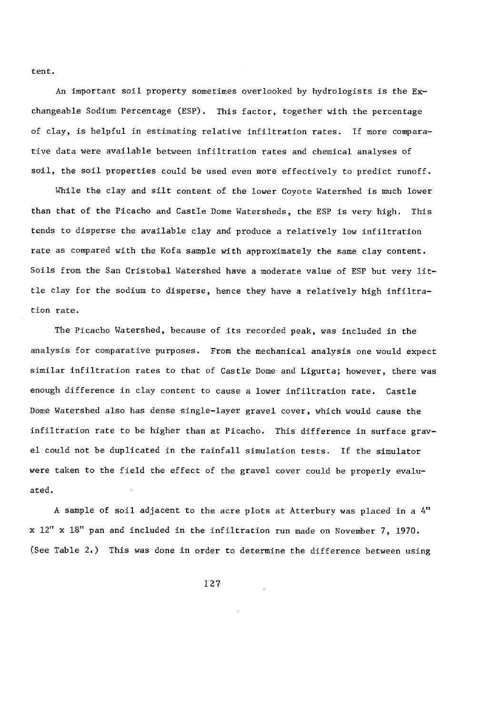tent.

An important soil property sometimes overlooked by hydrologists is the Exchangeable Sodium Percentage (ESP). This factor, together with the percentage of clay, is helpful in estimating relative infiltration rates. If more comparative data were available between infiltration rates and chemical analyses of soil, the soil properties could be used even more effectively to predict runoff.

While the clay and silt content of the lower Coyote Watershed is much lower than that of the Picacho and Castle Dome Watersheds, the ESP is very high. This tends to disperse the available clay and produce a relatively low infiltration rate as compared with the Kofa sample with approximately the same clay content. Soils from the San Cristobal Watershed have a moderate value of ESP but very little clay for the sodium to disperse, hence they have a relatively high infiltration rate.

The Picacho Watershed, because of its recorded peak, was included in the analysis for comparative purposes. From the mechanical analysis one would expect similar infiltration rates to that of Castle Dome and Ligurta; however, there was enough difference in clay content to cause a lower infiltration rate. Castle Dome Watershed also has dense single -layer gravel cover, which would cause the infiltration rate to be higher than at Picacho. This difference in surface gravel could not be duplicated in the rainfall simulation tests. If the simulator were taken to the field the effect of the gravel cover could be properly evaluated.

A sample of soil adjacent to the acre plots at Atterbury was placed in a 4" x 12" x 18" pan and included in the infiltration run made on November 7, 1970. (See Table 2.) This was done in order to determine the difference between using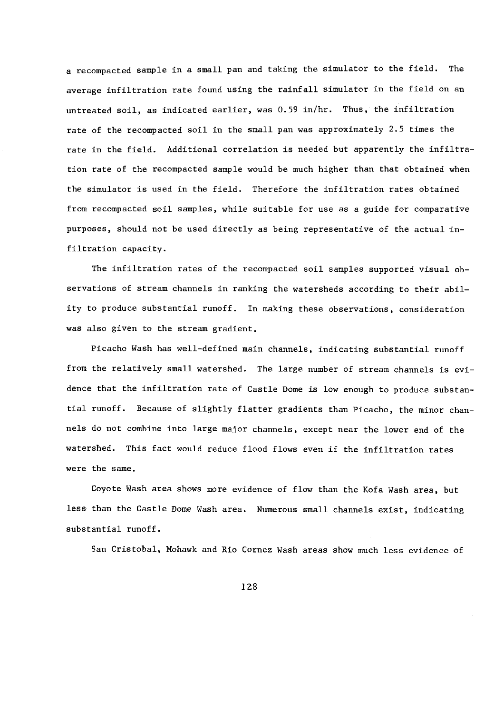a recompacted sample in a small pan and taking the simulator to the field. The average infiltration rate found using the rainfall simulator in the field on an untreated soil, as indicated earlier, was 0.59 in /hr. Thus, the infiltration rate of the recompacted soil in the small pan was approximately 2.5 times the rate in the field. Additional correlation is needed but apparently the infiltration rate of the recompacted sample would be much higher than that obtained when the simulator is used in the field. Therefore the infiltration rates obtained from recompacted soil samples, while suitable for use as a guide for comparative purposes, should not be used directly as being representative of the actual infiltration capacity.

The infiltration rates of the recompacted soil samples supported visual observations of stream channels in ranking the watersheds according to their ability to produce substantial runoff. In making these observations, consideration was also given to the stream gradient.

Picacho Wash has well- defined main channels, indicating substantial runoff from the relatively small watershed. The large number of stream channels is evidence that the infiltration rate of Castle Dome is low enough to produce substantial runoff. Because of slightly flatter gradients than Picacho, the minor channels do not combine into large major channels, except near the lower end of the watershed. This fact would reduce flood flows even if the infiltration rates were the same.

Coyote Wash area shows more evidence of flow than the Kofa Wash area, but less than the Castle Dome Wash area. Numerous small channels exist, indicating substantial runoff.

San Cristobal, Mohawk and Rio Cornez Wash areas show much less evidence of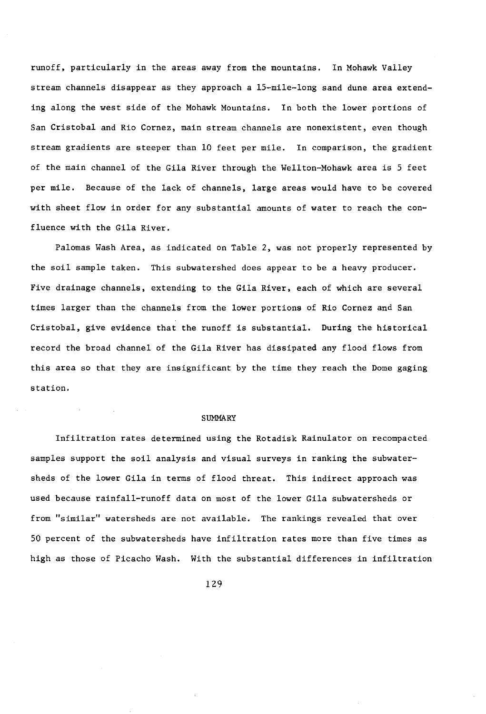runoff, particularly in the areas away from the mountains. In Mohawk Valley stream channels disappear as they approach a 15-mile-long sand dune area extending along the west side of the Mohawk Mountains. In both the lower portions of San Cristobal and Rio Cornez, main stream channels are nonexistent, even though stream gradients are steeper than 10 feet per mile. In comparison, the gradient of the main channel of the Gila River through the Wellton-Mohawk area is 5 feet per mile. Because of the lack of channels, large areas would have to be covered with sheet flow in order for any substantial amounts of water to reach the confluence with the Gila River.

Palomas Wash Area, as indicated on Table 2, was not properly represented by the soil sample taken. This subwatershed does appear to be a heavy producer. Five drainage channels, extending to the Gila River, each of which are several times larger than the channels from the lower portions of Rio Cornez and San Cristobal, give evidence that the runoff is substantial. During the historical record the broad channel of the Gila River has dissipated any flood flows from this area so that they are insignificant by the time they reach the Dome gaging station.

#### SUMMARY

Infiltration rates determined using the Rotadisk Rainulator on recompacted samples support the soil analysis and visual surveys in ranking the subwatersheds of the lower Gila in terms of flood threat. This indirect approach was used because rainfall-runoff data on most of the lower Gila subwatersheds or from "similar" watersheds are not available. The rankings revealed that over 50 percent of the subwatersheds have infiltration rates more than five times as high as those of Picacho Wash. With the substantial differences in infiltration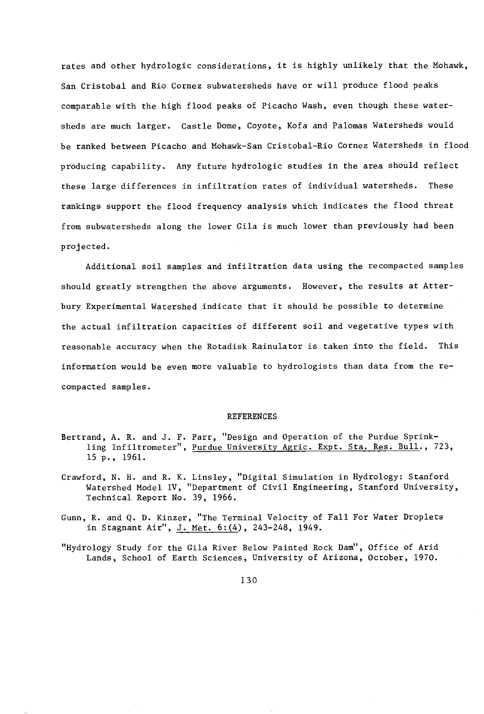rates and other hydrologic considerations, it is highly unlikely that the Mohawk, San Cristobal and Rio Cornez subwatersheds have or will produce flood peaks comparable with the high flood peaks of Picacho Wash, even though these watersheds are much larger. Castle Dome, Coyote, Kofa and Palomas Watersheds would be ranked between Picacho and Mohawk -San Cristobal -Rio Cornez Watersheds in flood producing capability. Any future hydrologic studies in the area should reflect these large differences in infiltration rates of individual watersheds. These rankings support the flood frequency analysis which indicates the flood threat from subwatersheds along the lower Gila is much lower than previously had been projected.

Additional soil samples and infiltration data using the recompacted samples should greatly strengthen the above arguments. However, the results at Atterbury Experimental Watershed indicate that it should be possible to determine the actual infiltration capacities of different soil and vegetative types with reasonable accuracy when the Rotadisk Rainulator is taken into the field. This information would be even more valuable to hydrologists than data from the recompacted samples.

#### REFERENCES

- Bertrand, A. R. and J. F. Parr, "Design and Operation of the Purdue Sprinkling Infiltrometer", <u>Purdue University Agric. Expt. Sta. Res. Bull</u>., 723, 15 p., 1961.
- Crawford, N. H. and R. K. Linsley, "Digital Simulation in Hydrology: Stanford Watershed Model IV, "Department of Civil Engineering, Stanford University, Technical Report No. 39, 1966.
- Gunn, R. and Q. D. Kinzer, "The Terminal Velocity of Fall For Water Droplets in Stagnant Air", J. Met. 6: (4), 243-248, 1949.
- "Hydrology Study for the Gila River Below Painted Rock Dam", Office of Arid Lands, School of Earth Sciences, University of Arizona, October, 1970.